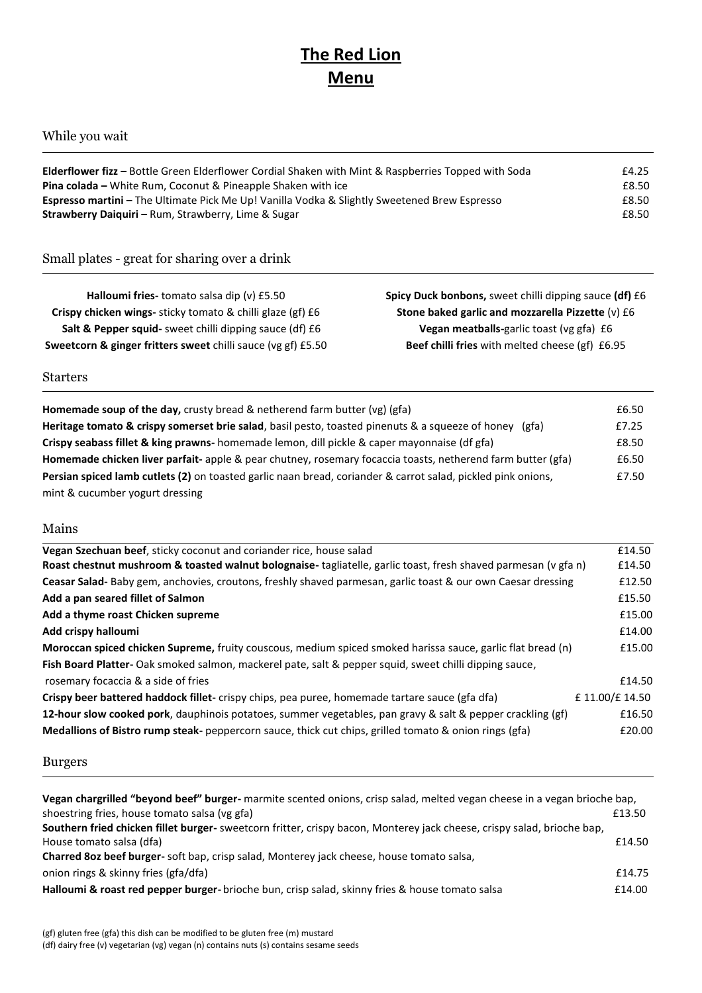# **The Red Lion Menu**

## While you wait

| <b>Elderflower fizz</b> – Bottle Green Elderflower Cordial Shaken with Mint & Raspberries Topped with Soda | £4.25 |
|------------------------------------------------------------------------------------------------------------|-------|
| <b>Pina colada</b> – White Rum, Coconut & Pineapple Shaken with ice                                        | f8.50 |
| <b>Espresso martini</b> – The Ultimate Pick Me Up! Vanilla Vodka & Slightly Sweetened Brew Espresso        | £8.50 |
| <b>Strawberry Daiguiri - Rum, Strawberry, Lime &amp; Sugar</b>                                             | £8.50 |

## Small plates - great for sharing over a drink

| Halloumi fries-tomato salsa dip (v) £5.50                               | Spicy Duck bonbons, sweet chilli dipping sauce (df) £6 |
|-------------------------------------------------------------------------|--------------------------------------------------------|
| Crispy chicken wings- sticky tomato & chilli glaze (gf) £6              | Stone baked garlic and mozzarella Pizzette (v) £6      |
| Salt & Pepper squid- sweet chilli dipping sauce (df) £6                 | Vegan meatballs-garlic toast (vg gfa) £6               |
| <b>Sweetcorn &amp; ginger fritters sweet chilli sauce (vg gf) £5.50</b> | Beef chilli fries with melted cheese (gf) £6.95        |

#### Starters

| <b>Homemade soup of the day, crusty bread &amp; netherend farm butter (vg) (gfa)</b>                                | £6.50 |
|---------------------------------------------------------------------------------------------------------------------|-------|
| Heritage tomato & crispy somerset brie salad, basil pesto, toasted pinenuts & a squeeze of honey<br>(gfa)           | £7.25 |
| Crispy seabass fillet & king prawns- homemade lemon, dill pickle & caper mayonnaise (df gfa)                        | £8.50 |
| Homemade chicken liver parfait-apple & pear chutney, rosemary focaccia toasts, netherend farm butter (gfa)          | £6.50 |
| <b>Persian spiced lamb cutlets (2)</b> on toasted garlic naan bread, coriander & carrot salad, pickled pink onions, | £7.50 |
| mint & cucumber yogurt dressing                                                                                     |       |

#### Mains

| Vegan Szechuan beef, sticky coconut and coriander rice, house salad                                                | £14.50        |
|--------------------------------------------------------------------------------------------------------------------|---------------|
| Roast chestnut mushroom & toasted walnut bolognaise-tagliatelle, garlic toast, fresh shaved parmesan (v gfa n)     | £14.50        |
| Ceasar Salad- Baby gem, anchovies, croutons, freshly shaved parmesan, garlic toast & our own Caesar dressing       | £12.50        |
| Add a pan seared fillet of Salmon                                                                                  | £15.50        |
| Add a thyme roast Chicken supreme                                                                                  | £15.00        |
| Add crispy halloumi                                                                                                | £14.00        |
| <b>Moroccan spiced chicken Supreme,</b> fruity couscous, medium spiced smoked harissa sauce, garlic flat bread (n) | £15.00        |
| Fish Board Platter-Oak smoked salmon, mackerel pate, salt & pepper squid, sweet chilli dipping sauce,              |               |
| rosemary focaccia & a side of fries                                                                                | £14.50        |
| Crispy beer battered haddock fillet-crispy chips, pea puree, homemade tartare sauce (gfa dfa)                      | £11.00/£14.50 |
| 12-hour slow cooked pork, dauphinois potatoes, summer vegetables, pan gravy & salt & pepper crackling (gf)         | £16.50        |
| Medallions of Bistro rump steak-peppercorn sauce, thick cut chips, grilled tomato & onion rings (gfa)              | £20.00        |
|                                                                                                                    |               |

### Burgers

| Vegan chargrilled "beyond beef" burger- marmite scented onions, crisp salad, melted vegan cheese in a vegan brioche bap, |        |
|--------------------------------------------------------------------------------------------------------------------------|--------|
| shoestring fries, house tomato salsa (vg gfa)                                                                            | £13.50 |
| Southern fried chicken fillet burger- sweetcorn fritter, crispy bacon, Monterey jack cheese, crispy salad, brioche bap,  |        |
| House tomato salsa (dfa)                                                                                                 | £14.50 |
| Charred 8oz beef burger- soft bap, crisp salad, Monterey jack cheese, house tomato salsa,                                |        |
| onion rings & skinny fries (gfa/dfa)                                                                                     | £14.75 |
| Halloumi & roast red pepper burger-brioche bun, crisp salad, skinny fries & house tomato salsa                           | £14.00 |